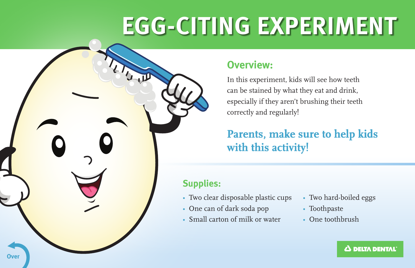# **EGG-CITING EXPERIMENT**

## **Overview:**

In this experiment, kids will see how teeth can be stained by what they eat and drink, especially if they aren't brushing their teeth correctly and regularly!

# Parents, make sure to help kids<br>with this activity! with this activity!

### **Supplies:**

- Two clear disposable plastic cups
- One can of dark soda pop
- Small carton of milk or water
- Two hard-boiled eggs
- Toothpaste
- One toothbrush

 $\Delta$  delta dental